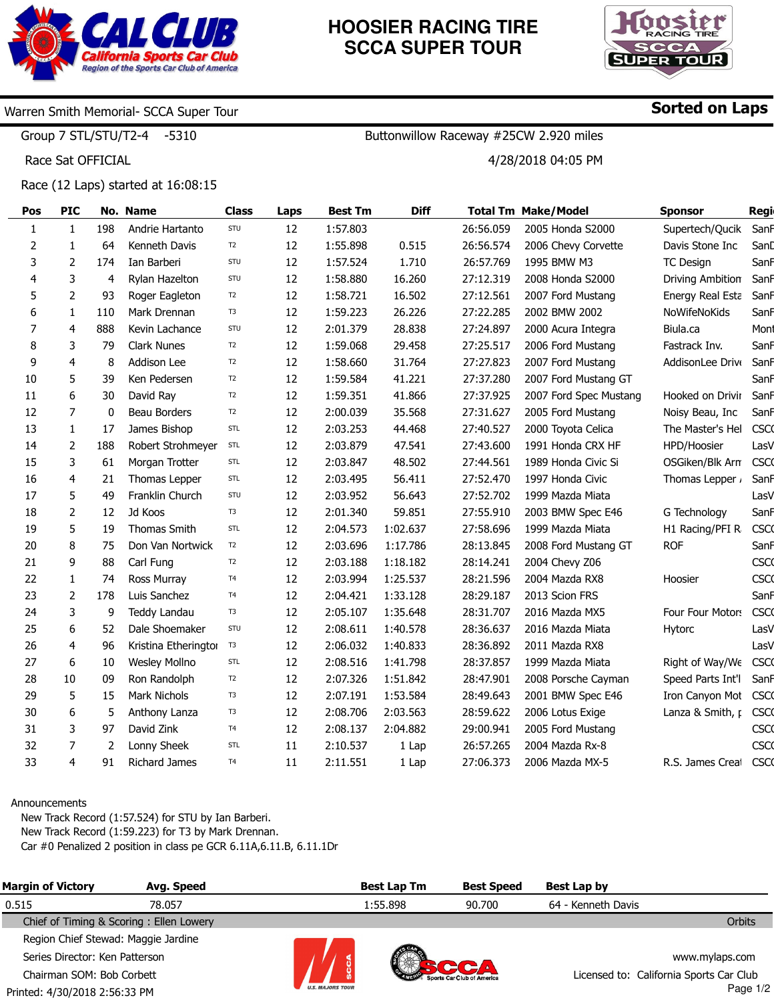

# **HOOSIER RACING TIRE SCCA SUPER TOUR**

Buttonwillow Raceway #25CW 2.920 miles

4/28/2018 04:05 PM



Sorted on Laps

## Warren Smith Memorial- SCCA Super Tour

Group 7 STL/STU/T2-4 -5310

Race Sat OFFICIAL

Race (12 Laps) started at 16:08:15

| Pos          | <b>PIC</b>     |     | No. Name             | <b>Class</b>   | Laps | <b>Best Tm</b> | <b>Diff</b> |           | <b>Total Tm Make/Model</b> | <b>Sponsor</b>          | Regi        |
|--------------|----------------|-----|----------------------|----------------|------|----------------|-------------|-----------|----------------------------|-------------------------|-------------|
| $\mathbf{1}$ | $\mathbf{1}$   | 198 | Andrie Hartanto      | STU            | 12   | 1:57.803       |             | 26:56.059 | 2005 Honda S2000           | Supertech/Qucik         | Sanf        |
| 2            | 1              | 64  | Kenneth Davis        | T <sub>2</sub> | 12   | 1:55.898       | 0.515       | 26:56.574 | 2006 Chevy Corvette        | Davis Stone Inc         | SanD        |
| 3            | 2              | 174 | Ian Barberi          | STU            | 12   | 1:57.524       | 1.710       | 26:57.769 | 1995 BMW M3                | <b>TC Design</b>        | SanF        |
| 4            | 3              | 4   | Rylan Hazelton       | STU            | 12   | 1:58.880       | 16.260      | 27:12.319 | 2008 Honda S2000           | <b>Driving Ambition</b> | SanF        |
| 5            | $\overline{2}$ | 93  | Roger Eagleton       | T <sub>2</sub> | 12   | 1:58.721       | 16.502      | 27:12.561 | 2007 Ford Mustang          | Energy Real Esta        | SanF        |
| 6            | 1              | 110 | Mark Drennan         | T3             | 12   | 1:59.223       | 26.226      | 27:22.285 | 2002 BMW 2002              | NoWifeNoKids            | SanF        |
| 7            | $\overline{4}$ | 888 | Kevin Lachance       | STU            | 12   | 2:01.379       | 28.838      | 27:24.897 | 2000 Acura Integra         | Biula.ca                | Mont        |
| 8            | 3              | 79  | <b>Clark Nunes</b>   | T <sub>2</sub> | 12   | 1:59.068       | 29.458      | 27:25.517 | 2006 Ford Mustang          | Fastrack Inv.           | SanF        |
| 9            | $\overline{4}$ | 8   | Addison Lee          | T <sub>2</sub> | 12   | 1:58.660       | 31.764      | 27:27.823 | 2007 Ford Mustang          | AddisonLee Drive        | SanF        |
| 10           | 5              | 39  | Ken Pedersen         | T <sub>2</sub> | 12   | 1:59.584       | 41.221      | 27:37.280 | 2007 Ford Mustang GT       |                         | SanF        |
| 11           | 6              | 30  | David Ray            | T <sub>2</sub> | 12   | 1:59.351       | 41.866      | 27:37.925 | 2007 Ford Spec Mustang     | Hooked on Drivir        | SanF        |
| 12           | $\overline{7}$ | 0   | Beau Borders         | T <sub>2</sub> | 12   | 2:00.039       | 35.568      | 27:31.627 | 2005 Ford Mustang          | Noisy Beau, Inc         | SanF        |
| 13           | $\mathbf{1}$   | 17  | James Bishop         | STL            | 12   | 2:03.253       | 44.468      | 27:40.527 | 2000 Toyota Celica         | The Master's Hel        | <b>CSCO</b> |
| 14           | $\overline{2}$ | 188 | Robert Strohmeyer    | STL            | 12   | 2:03.879       | 47.541      | 27:43.600 | 1991 Honda CRX HF          | HPD/Hoosier             | LasV        |
| 15           | 3              | 61  | Morgan Trotter       | STL            | 12   | 2:03.847       | 48.502      | 27:44.561 | 1989 Honda Civic Si        | OSGiken/Blk Arn         | <b>CSCO</b> |
| 16           | 4              | 21  | Thomas Lepper        | STL            | 12   | 2:03.495       | 56.411      | 27:52.470 | 1997 Honda Civic           | Thomas Lepper           | SanF        |
| 17           | 5              | 49  | Franklin Church      | STU            | 12   | 2:03.952       | 56.643      | 27:52.702 | 1999 Mazda Miata           |                         | LasV        |
| 18           | $\overline{2}$ | 12  | Jd Koos              | T3             | 12   | 2:01.340       | 59.851      | 27:55.910 | 2003 BMW Spec E46          | G Technology            | SanF        |
| 19           | 5              | 19  | Thomas Smith         | STL            | 12   | 2:04.573       | 1:02.637    | 27:58.696 | 1999 Mazda Miata           | H1 Racing/PFI R         | <b>CSCO</b> |
| 20           | 8              | 75  | Don Van Nortwick     | T <sub>2</sub> | 12   | 2:03.696       | 1:17.786    | 28:13.845 | 2008 Ford Mustang GT       | <b>ROF</b>              | SanF        |
| 21           | 9              | 88  | Carl Fung            | T <sub>2</sub> | 12   | 2:03.188       | 1:18.182    | 28:14.241 | 2004 Chevy Z06             |                         | <b>CSCO</b> |
| 22           | $\mathbf{1}$   | 74  | Ross Murray          | T4             | 12   | 2:03.994       | 1:25.537    | 28:21.596 | 2004 Mazda RX8             | Hoosier                 | <b>CSCO</b> |
| 23           | $\overline{2}$ | 178 | Luis Sanchez         | T4             | 12   | 2:04.421       | 1:33.128    | 28:29.187 | 2013 Scion FRS             |                         | SanF        |
| 24           | 3              | 9   | Teddy Landau         | T <sub>3</sub> | 12   | 2:05.107       | 1:35.648    | 28:31.707 | 2016 Mazda MX5             | Four Four Motors        | <b>CSCO</b> |
| 25           | 6              | 52  | Dale Shoemaker       | STU            | 12   | 2:08.611       | 1:40.578    | 28:36.637 | 2016 Mazda Miata           | Hytorc                  | LasV        |
| 26           | 4              | 96  | Kristina Etheringtor | T <sub>3</sub> | 12   | 2:06.032       | 1:40.833    | 28:36.892 | 2011 Mazda RX8             |                         | LasV        |
| 27           | 6              | 10  | <b>Wesley Mollno</b> | STL            | 12   | 2:08.516       | 1:41.798    | 28:37.857 | 1999 Mazda Miata           | Right of Way/We         | <b>CSCO</b> |
| 28           | 10             | 09  | Ron Randolph         | T2             | 12   | 2:07.326       | 1:51.842    | 28:47.901 | 2008 Porsche Cayman        | Speed Parts Int'l       | SanF        |
| 29           | 5              | 15  | Mark Nichols         | T <sub>3</sub> | 12   | 2:07.191       | 1:53.584    | 28:49.643 | 2001 BMW Spec E46          | Iron Canyon Mot         | <b>CSCO</b> |
| 30           | 6              | 5   | Anthony Lanza        | T <sub>3</sub> | 12   | 2:08.706       | 2:03.563    | 28:59.622 | 2006 Lotus Exige           | Lanza & Smith, p        | <b>CSCO</b> |
| 31           | 3              | 97  | David Zink           | T <sub>4</sub> | 12   | 2:08.137       | 2:04.882    | 29:00.941 | 2005 Ford Mustang          |                         | <b>CSCO</b> |
| 32           | $\overline{7}$ | 2   | Lonny Sheek          | STL            | 11   | 2:10.537       | 1 Lap       | 26:57.265 | 2004 Mazda Rx-8            |                         | <b>CSCO</b> |
| 33           | 4              | 91  | <b>Richard James</b> | T <sub>4</sub> | 11   | 2:11.551       | 1 Lap       | 27:06.373 | 2006 Mazda MX-5            | R.S. James Creat        | <b>CSCO</b> |

#### Announcements

New Track Record (1:57.524) for STU by Ian Barberi.

New Track Record (1:59.223) for T3 by Mark Drennan.

Car #0 Penalized 2 position in class pe GCR 6.11A,6.11.B, 6.11.1Dr

| <b>Margin of Victory</b>            | Avg. Speed                              |                         | <b>Best Lap Tm</b> | <b>Best Speed</b> | Best Lap by                             |                |
|-------------------------------------|-----------------------------------------|-------------------------|--------------------|-------------------|-----------------------------------------|----------------|
| 0.515                               | 78.057                                  |                         | 1:55.898           | 90.700            | 64 - Kenneth Davis                      |                |
|                                     | Chief of Timing & Scoring: Ellen Lowery |                         |                    |                   |                                         | Orbits         |
| Region Chief Stewad: Maggie Jardine |                                         |                         |                    |                   |                                         |                |
| Series Director: Ken Patterson      |                                         |                         |                    |                   |                                         | www.mylaps.com |
| Chairman SOM: Bob Corbett           |                                         |                         |                    |                   | Licensed to: California Sports Car Club |                |
| Printed: 4/30/2018 2:56:33 PM       |                                         | <b>U.S. MAJORS TOUR</b> |                    |                   |                                         | Page 1/2       |